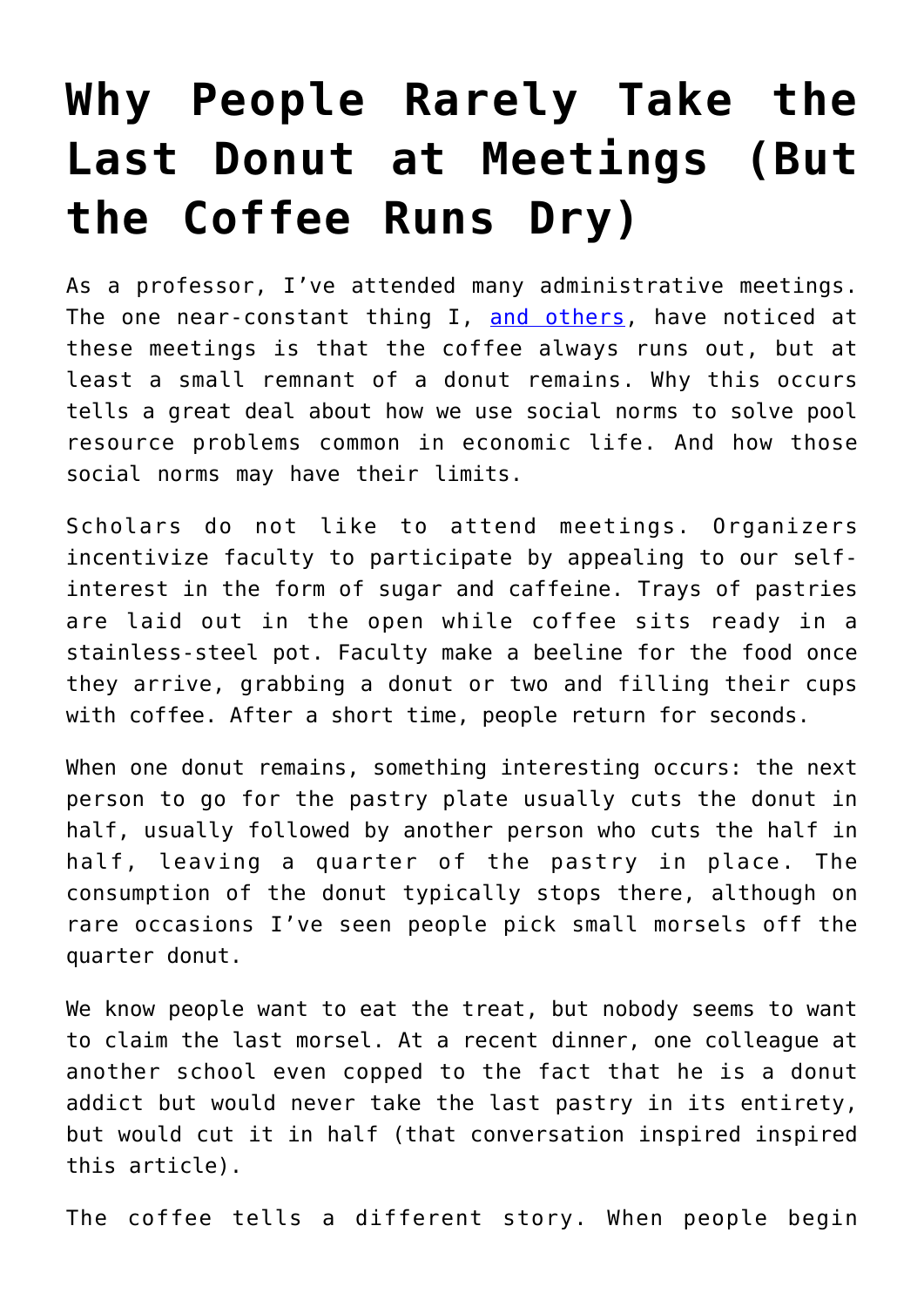## **[Why People Rarely Take the](https://intellectualtakeout.org/2017/09/why-people-rarely-take-the-last-donut-at-meetings-but-the-coffee-runs-dry/) [Last Donut at Meetings \(But](https://intellectualtakeout.org/2017/09/why-people-rarely-take-the-last-donut-at-meetings-but-the-coffee-runs-dry/) [the Coffee Runs Dry\)](https://intellectualtakeout.org/2017/09/why-people-rarely-take-the-last-donut-at-meetings-but-the-coffee-runs-dry/)**

As a professor, I've attended many administrative meetings. The one near-constant thing I, [and others](http://boards.straightdope.com/sdmb/archive/index.php/t-514509.html), have noticed at these meetings is that the coffee always runs out, but at least a small remnant of a donut remains. Why this occurs tells a great deal about how we use social norms to solve pool resource problems common in economic life. And how those social norms may have their limits.

Scholars do not like to attend meetings. Organizers incentivize faculty to participate by appealing to our selfinterest in the form of sugar and caffeine. Trays of pastries are laid out in the open while coffee sits ready in a stainless-steel pot. Faculty make a beeline for the food once they arrive, grabbing a donut or two and filling their cups with coffee. After a short time, people return for seconds.

When one donut remains, something interesting occurs: the next person to go for the pastry plate usually cuts the donut in half, usually followed by another person who cuts the half in half, leaving a quarter of the pastry in place. The consumption of the donut typically stops there, although on rare occasions I've seen people pick small morsels off the quarter donut.

We know people want to eat the treat, but nobody seems to want to claim the last morsel. At a recent dinner, one colleague at another school even copped to the fact that he is a donut addict but would never take the last pastry in its entirety, but would cut it in half (that conversation inspired inspired this article).

The coffee tells a different story. When people begin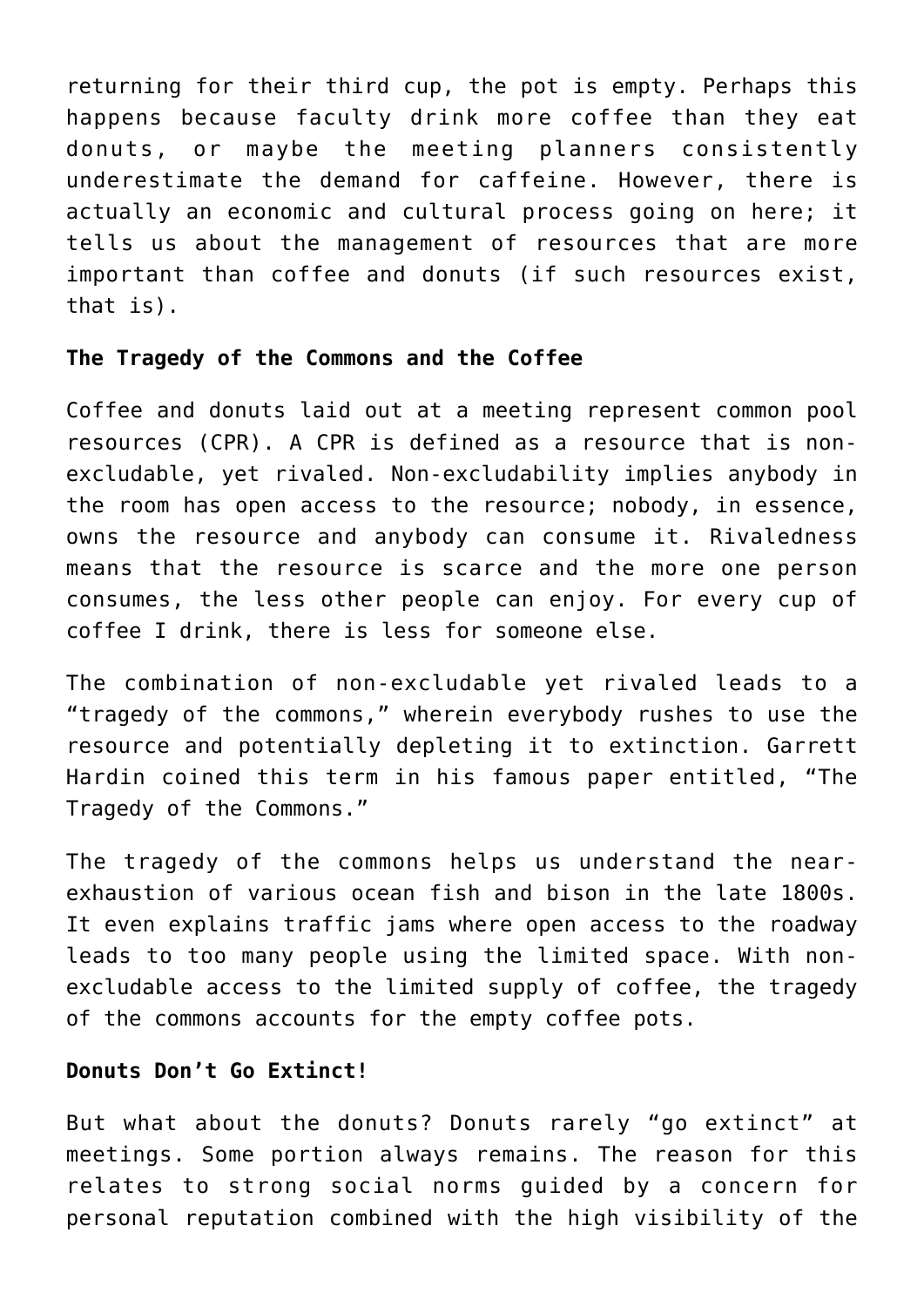returning for their third cup, the pot is empty. Perhaps this happens because faculty drink more coffee than they eat donuts, or maybe the meeting planners consistently underestimate the demand for caffeine. However, there is actually an economic and cultural process going on here; it tells us about the management of resources that are more important than coffee and donuts (if such resources exist, that is).

## **The Tragedy of the Commons and the Coffee**

Coffee and donuts laid out at a meeting represent common pool resources (CPR). A CPR is defined as a resource that is nonexcludable, yet rivaled. Non-excludability implies anybody in the room has open access to the resource; nobody, in essence, owns the resource and anybody can consume it. Rivaledness means that the resource is scarce and the more one person consumes, the less other people can enjoy. For every cup of coffee I drink, there is less for someone else.

The combination of non-excludable yet rivaled leads to a "tragedy of the commons," wherein everybody rushes to use the resource and potentially depleting it to extinction. Garrett Hardin coined this term in his famous paper entitled, "The Tragedy of the Commons."

The tragedy of the commons helps us understand the nearexhaustion of various ocean fish and bison in the late 1800s. It even explains traffic jams where open access to the roadway leads to too many people using the limited space. With nonexcludable access to the limited supply of coffee, the tragedy of the commons accounts for the empty coffee pots.

## **Donuts Don't Go Extinct!**

But what about the donuts? Donuts rarely "go extinct" at meetings. Some portion always remains. The reason for this relates to strong social norms guided by a concern for personal reputation combined with the high visibility of the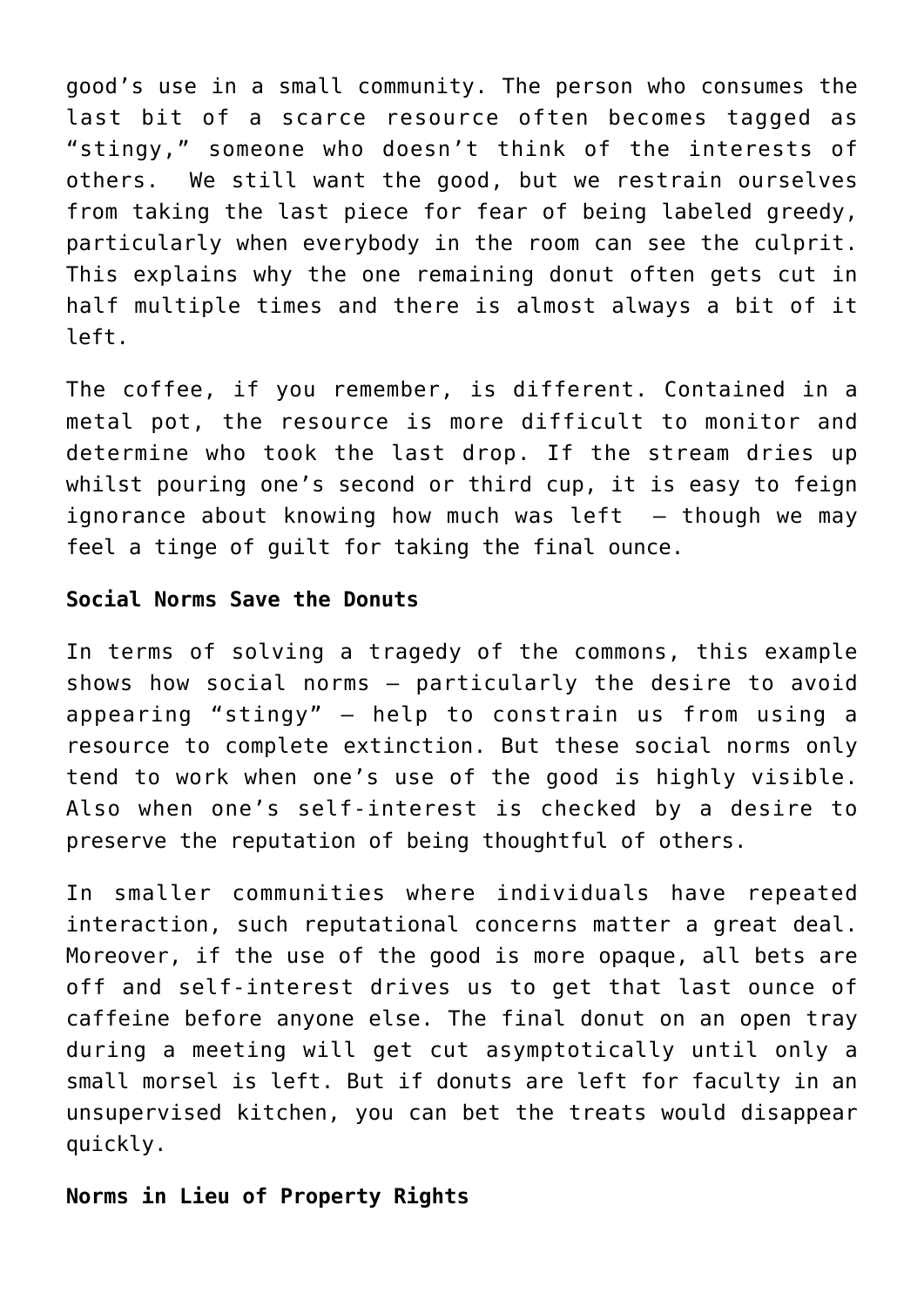good's use in a small community. The person who consumes the last bit of a scarce resource often becomes tagged as "stingy," someone who doesn't think of the interests of others. We still want the good, but we restrain ourselves from taking the last piece for fear of being labeled greedy, particularly when everybody in the room can see the culprit. This explains why the one remaining donut often gets cut in half multiple times and there is almost always a bit of it left.

The coffee, if you remember, is different. Contained in a metal pot, the resource is more difficult to monitor and determine who took the last drop. If the stream dries up whilst pouring one's second or third cup, it is easy to feign ignorance about knowing how much was left  $-$  though we may feel a tinge of guilt for taking the final ounce.

## **Social Norms Save the Donuts**

In terms of solving a tragedy of the commons, this example shows how social norms – particularly the desire to avoid appearing "stingy" — help to constrain us from using a resource to complete extinction. But these social norms only tend to work when one's use of the good is highly visible. Also when one's self-interest is checked by a desire to preserve the reputation of being thoughtful of others.

In smaller communities where individuals have repeated interaction, such reputational concerns matter a great deal. Moreover, if the use of the good is more opaque, all bets are off and self-interest drives us to get that last ounce of caffeine before anyone else. The final donut on an open tray during a meeting will get cut asymptotically until only a small morsel is left. But if donuts are left for faculty in an unsupervised kitchen, you can bet the treats would disappear quickly.

**Norms in Lieu of Property Rights**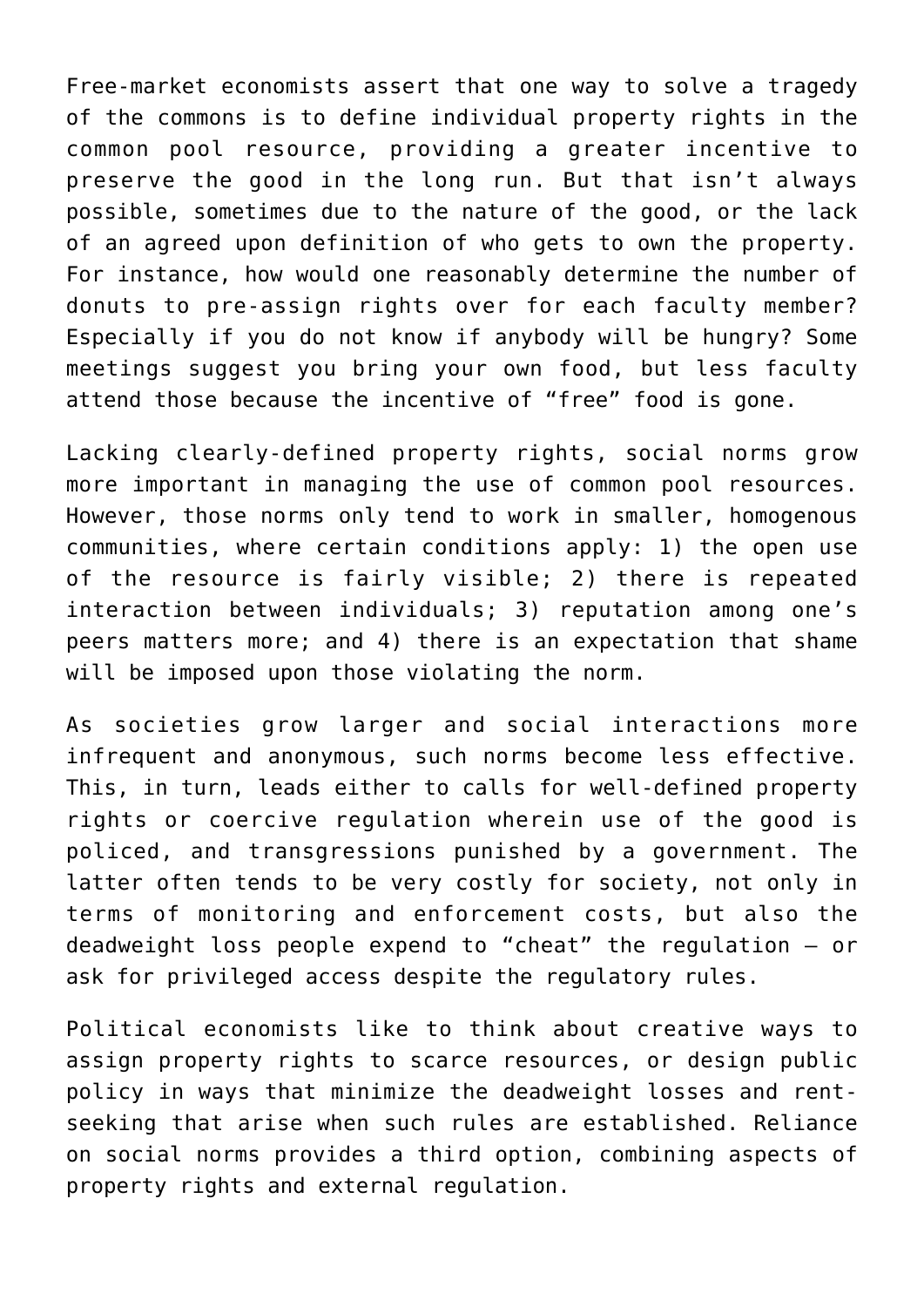Free-market economists assert that one way to solve a tragedy of the commons is to define individual property rights in the common pool resource, providing a greater incentive to preserve the good in the long run. But that isn't always possible, sometimes due to the nature of the good, or the lack of an agreed upon definition of who gets to own the property. For instance, how would one reasonably determine the number of donuts to pre-assign rights over for each faculty member? Especially if you do not know if anybody will be hungry? Some meetings suggest you bring your own food, but less faculty attend those because the incentive of "free" food is gone.

Lacking clearly-defined property rights, social norms grow more important in managing the use of common pool resources. However, those norms only tend to work in smaller, homogenous communities, where certain conditions apply: 1) the open use of the resource is fairly visible; 2) there is repeated interaction between individuals; 3) reputation among one's peers matters more; and 4) there is an expectation that shame will be imposed upon those violating the norm.

As societies grow larger and social interactions more infrequent and anonymous, such norms become less effective. This, in turn, leads either to calls for well-defined property rights or coercive regulation wherein use of the good is policed, and transgressions punished by a government. The latter often tends to be very costly for society, not only in terms of monitoring and enforcement costs, but also the deadweight loss people expend to "cheat" the regulation — or ask for privileged access despite the regulatory rules.

Political economists like to think about creative ways to assign property rights to scarce resources, or design public policy in ways that minimize the deadweight losses and rentseeking that arise when such rules are established. Reliance on social norms provides a third option, combining aspects of property rights and external regulation.